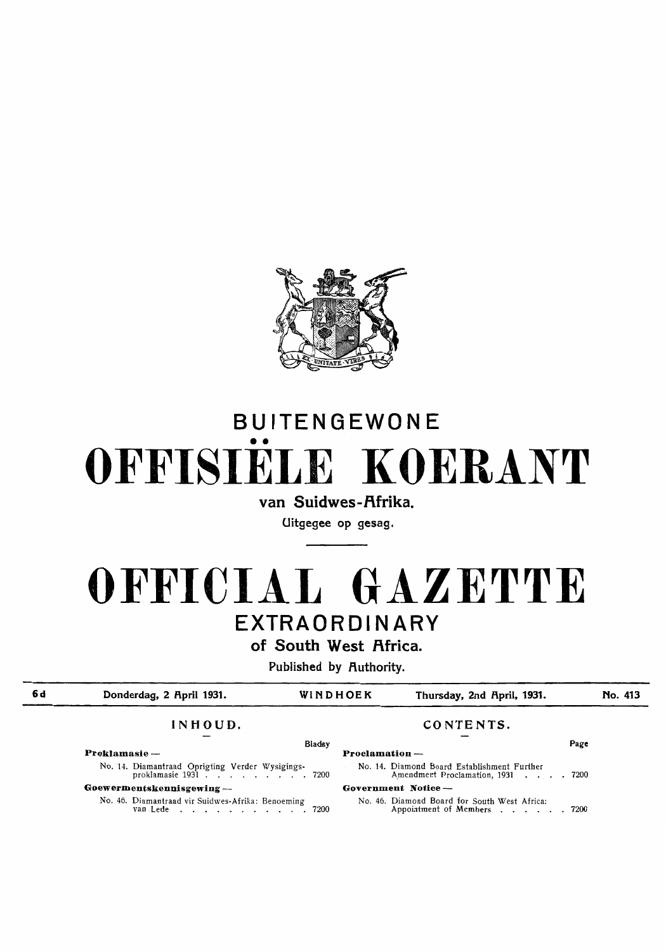

# BUITENGEWONE •• **OFFISIELE KOERANT**

van Suidwes-Afrika.

Uitgegee op gesag.

## **OFFICIAL GAZETTE**  EXTRAORDINARY

of South West Africa.

Published by Authority.

**6d** 

Donderdag, 2 April 1931. **WINDHOEK Thursday, 2nd April, 1931.** 

**No. 413** 

No. 14. Diamantraad Oprigting Verder Wysigings-<br>proklamasie 1931 . . . . . . . . . . . 7200

**Goewermentskennisgewing** -

No. 46. Diamantraad vir Suidwes-Afrika: Benoeming<br>van Lede . . . . . . . . . . . . . . 7200

### **INHOUD. CONTENTS.**

#### Bladsy **Page Proklamasie** - **Proclamation** - No. 14. Diamond Board Establishment Further Amendment Proclamation, 1931 . . . . 7200 **Government Notice** - No. 46. Diamond Board for South West Africa: Appointment of Members . . . . . 7200